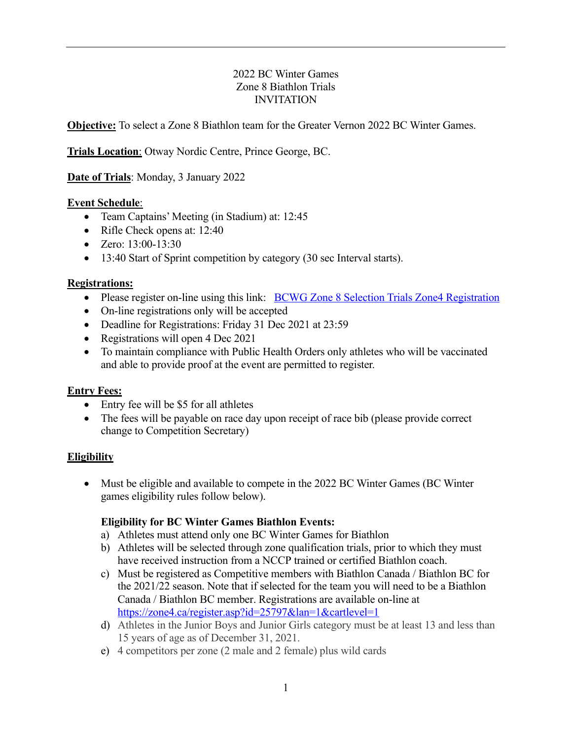### 2022 BC Winter Games Zone 8 Biathlon Trials INVITATION

**Objective:** To select a Zone 8 Biathlon team for the Greater Vernon 2022 BC Winter Games.

**Trials Location**: Otway Nordic Centre, Prince George, BC.

**Date of Trials**: Monday, 3 January 2022

## **Event Schedule**:

- Team Captains' Meeting (in Stadium) at: 12:45
- Rifle Check opens at: 12:40
- Zero: 13:00-13:30
- 13:40 Start of Sprint competition by category (30 sec Interval starts).

## **Registrations:**

- Please register on-line using this link: BCWG Zone 8 Selection Trials Zone4 Registration
- On-line registrations only will be accepted
- Deadline for Registrations: Friday 31 Dec 2021 at 23:59
- Registrations will open 4 Dec 2021
- To maintain compliance with Public Health Orders only athletes who will be vaccinated and able to provide proof at the event are permitted to register.

# **Entry Fees:**

- Entry fee will be \$5 for all athletes
- The fees will be payable on race day upon receipt of race bib (please provide correct change to Competition Secretary)

# **Eligibility**

• Must be eligible and available to compete in the 2022 BC Winter Games (BC Winter games eligibility rules follow below).

# **Eligibility for BC Winter Games Biathlon Events:**

- a) Athletes must attend only one BC Winter Games for Biathlon
- b) Athletes will be selected through zone qualification trials, prior to which they must have received instruction from a NCCP trained or certified Biathlon coach.
- c) Must be registered as Competitive members with Biathlon Canada / Biathlon BC for the 2021/22 season. Note that if selected for the team you will need to be a Biathlon Canada / Biathlon BC member. Registrations are available on-line at https://zone4.ca/register.asp?id=25797&lan=1&cartlevel=1
- d) Athletes in the Junior Boys and Junior Girls category must be at least 13 and less than 15 years of age as of December 31, 2021.
- e) 4 competitors per zone (2 male and 2 female) plus wild cards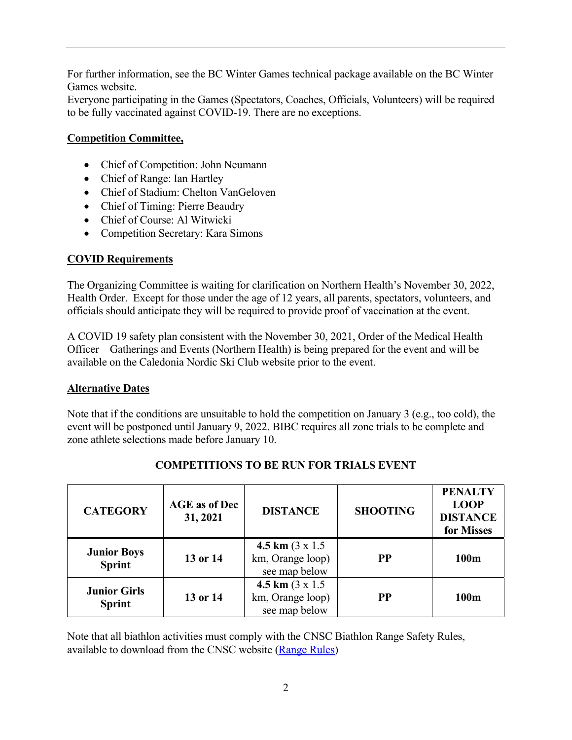For further information, see the BC Winter Games technical package available on the BC Winter Games website.

Everyone participating in the Games (Spectators, Coaches, Officials, Volunteers) will be required to be fully vaccinated against COVID-19. There are no exceptions.

## **Competition Committee,**

- Chief of Competition: John Neumann
- Chief of Range: Ian Hartley
- Chief of Stadium: Chelton VanGeloven
- Chief of Timing: Pierre Beaudry
- Chief of Course: Al Witwicki
- Competition Secretary: Kara Simons

## **COVID Requirements**

The Organizing Committee is waiting for clarification on Northern Health's November 30, 2022, Health Order. Except for those under the age of 12 years, all parents, spectators, volunteers, and officials should anticipate they will be required to provide proof of vaccination at the event.

A COVID 19 safety plan consistent with the November 30, 2021, Order of the Medical Health Officer – Gatherings and Events (Northern Health) is being prepared for the event and will be available on the Caledonia Nordic Ski Club website prior to the event.

### **Alternative Dates**

Note that if the conditions are unsuitable to hold the competition on January 3 (e.g., too cold), the event will be postponed until January 9, 2022. BIBC requires all zone trials to be complete and zone athlete selections made before January 10.

| <b>CATEGORY</b>                      | <b>AGE</b> as of Dec<br>31, 2021 | <b>DISTANCE</b>                                                | <b>SHOOTING</b> | <b>PENALTY</b><br><b>LOOP</b><br><b>DISTANCE</b><br>for Misses |
|--------------------------------------|----------------------------------|----------------------------------------------------------------|-----------------|----------------------------------------------------------------|
| <b>Junior Boys</b><br><b>Sprint</b>  | 13 or 14                         | 4.5 km $(3 \times 1.5)$<br>km, Orange loop)<br>- see map below | <b>PP</b>       | 100 <sub>m</sub>                                               |
| <b>Junior Girls</b><br><b>Sprint</b> | 13 or 14                         | 4.5 km $(3 \times 1.5)$<br>km, Orange loop)<br>- see map below | <b>PP</b>       | 100m                                                           |

# **COMPETITIONS TO BE RUN FOR TRIALS EVENT**

Note that all biathlon activities must comply with the CNSC Biathlon Range Safety Rules, available to download from the CNSC website (Range Rules)